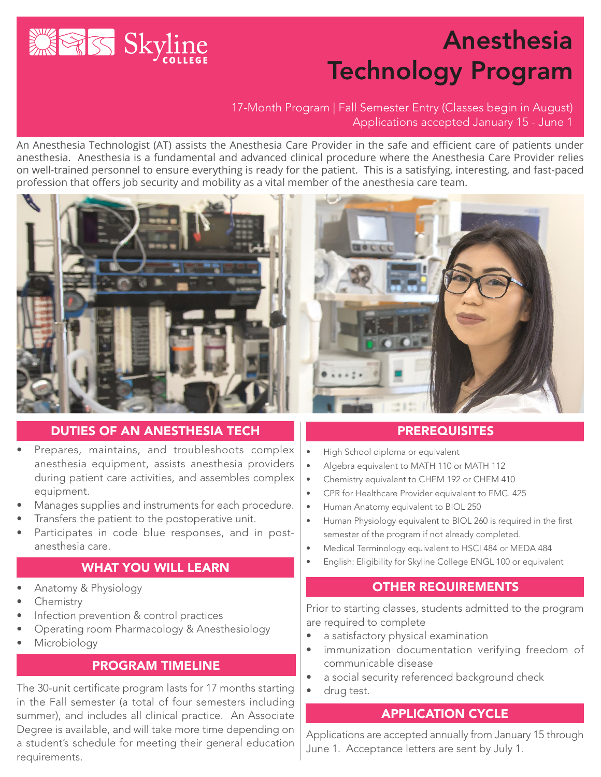

# Anesthesia Technology Program

## 17-Month Program | Fall Semester Entry (Classes begin in August) Applications accepted January 15 - June 1

An Anesthesia Technologist (AT) assists the Anesthesia Care Provider in the safe and efficient care of patients under anesthesia. Anesthesia is a fundamental and advanced clinical procedure where the Anesthesia Care Provider relies on well-trained personnel to ensure everything is ready for the patient. This is a satisfying, interesting, and fast-paced profession that offers job security and mobility as a vital member of the anesthesia care team.



#### DUTIES OF AN ANESTHESIA TECH

- Prepares, maintains, and troubleshoots complex anesthesia equipment, assists anesthesia providers during patient care activities, and assembles complex equipment.
- Manages supplies and instruments for each procedure.
- Transfers the patient to the postoperative unit.
- Participates in code blue responses, and in postanesthesia care.

## WHAT YOU WILL LEARN

- Anatomy & Physiology
- **Chemistry**
- Infection prevention & control practices
- Operating room Pharmacology & Anesthesiology
- **Microbiology**

## PROGRAM TIMELINE

The 30-unit certificate program lasts for 17 months starting in the Fall semester (a total of four semesters including summer), and includes all clinical practice. An Associate Degree is available, and will take more time depending on a student's schedule for meeting their general education requirements.



## **PREREQUISITES**

- High School diploma or equivalent
- Algebra equivalent to MATH 110 or MATH 112
- Chemistry equivalent to CHEM 192 or CHEM 410
- CPR for Healthcare Provider equivalent to EMC. 425
- Human Anatomy equivalent to BIOL 250
- Human Physiology equivalent to BIOL 260 is required in the first semester of the program if not already completed.
- Medical Terminology equivalent to HSCI 484 or MEDA 484
- English: Eligibility for Skyline College ENGL 100 or equivalent

## OTHER REQUIREMENTS

Prior to starting classes, students admitted to the program are required to complete

- a satisfactory physical examination
- immunization documentation verifying freedom of communicable disease
- a social security referenced background check
- drug test.

## APPLICATION CYCLE

Applications are accepted annually from January 15 through June 1. Acceptance letters are sent by July 1.